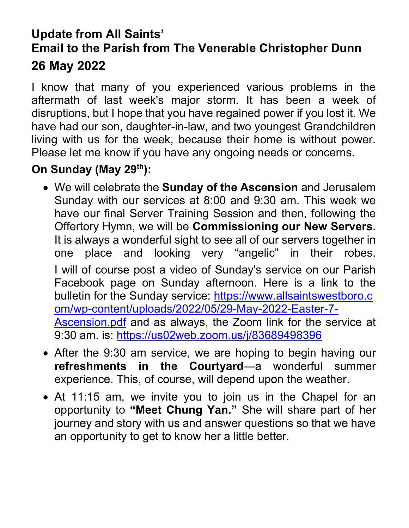## **Update from All Saints' Email to the Parish from The Venerable Christopher Dunn 26 May 2022**

I know that many of you experienced various problems in the aftermath of last week's major storm. It has been a week of disruptions, but I hope that you have regained power if you lost it. We have had our son, daughter-in-law, and two youngest Grandchildren living with us for the week, because their home is without power. Please let me know if you have any ongoing needs or concerns.

## **On Sunday (May 29th):**

- We will celebrate the **Sunday of the Ascension** and Jerusalem Sunday with our services at 8:00 and 9:30 am. This week we have our final Server Training Session and then, following the Offertory Hymn, we will be **Commissioning our New Servers**. It is always a wonderful sight to see all of our servers together in one place and looking very "angelic" in their robes. I will of course post a video of Sunday's service on our Parish Facebook page on Sunday afternoon. Here is a link to the bulletin for the Sunday service: [https://www.allsaintswestboro.c](https://www.allsaintswestboro.com/wp-content/uploads/2022/05/29-May-2022-Easter-7-Ascension.pdf) [om/wp-content/uploads/2022/05/29-May-2022-Easter-7-](https://www.allsaintswestboro.com/wp-content/uploads/2022/05/29-May-2022-Easter-7-Ascension.pdf) [Ascension.pdf](https://www.allsaintswestboro.com/wp-content/uploads/2022/05/29-May-2022-Easter-7-Ascension.pdf) and as always, the Zoom link for the service at 9:30 am. is: <https://us02web.zoom.us/j/83689498396>
- After the 9:30 am service, we are hoping to begin having our **refreshments in the Courtyard**—a wonderful summer experience. This, of course, will depend upon the weather.
- At 11:15 am, we invite you to join us in the Chapel for an opportunity to **"Meet Chung Yan."** She will share part of her journey and story with us and answer questions so that we have an opportunity to get to know her a little better.